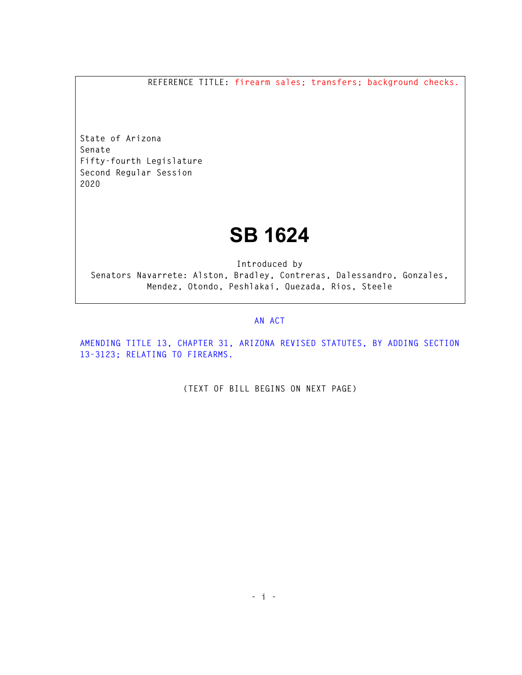**REFERENCE TITLE: firearm sales; transfers; background checks.** 

**State of Arizona Senate Fifty-fourth Legislature Second Regular Session 2020** 

## **SB 1624**

**Introduced by Senators Navarrete: Alston, Bradley, Contreras, Dalessandro, Gonzales, Mendez, Otondo, Peshlakai, Quezada, Rios, Steele** 

## **AN ACT**

**AMENDING TITLE 13, CHAPTER 31, ARIZONA REVISED STATUTES, BY ADDING SECTION 13-3123; RELATING TO FIREARMS.** 

**(TEXT OF BILL BEGINS ON NEXT PAGE)**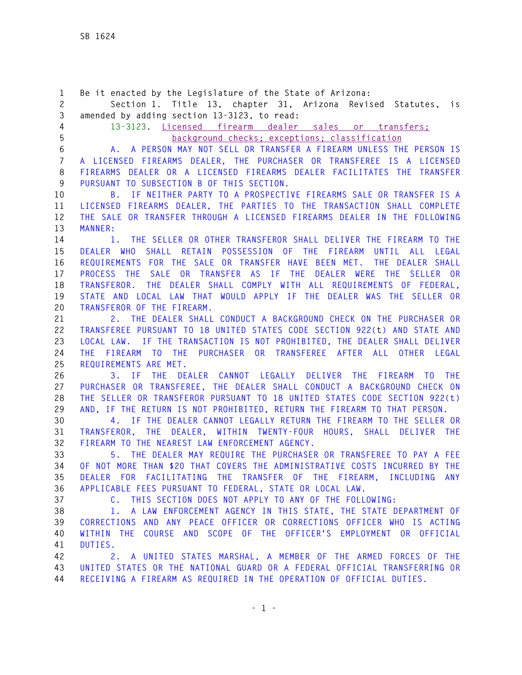**1 Be it enacted by the Legislature of the State of Arizona: 2 Section 1. Title 13, chapter 31, Arizona Revised Statutes, is 3 amended by adding section 13-3123, to read: 4 13-3123. Licensed firearm dealer sales or transfers; 5 background checks; exceptions; classification 6 A. A PERSON MAY NOT SELL OR TRANSFER A FIREARM UNLESS THE PERSON IS 7 A LICENSED FIREARMS DEALER, THE PURCHASER OR TRANSFEREE IS A LICENSED 8 FIREARMS DEALER OR A LICENSED FIREARMS DEALER FACILITATES THE TRANSFER 9 PURSUANT TO SUBSECTION B OF THIS SECTION. 10 B. IF NEITHER PARTY TO A PROSPECTIVE FIREARMS SALE OR TRANSFER IS A 11 LICENSED FIREARMS DEALER, THE PARTIES TO THE TRANSACTION SHALL COMPLETE 12 THE SALE OR TRANSFER THROUGH A LICENSED FIREARMS DEALER IN THE FOLLOWING 13 MANNER: 14 1. THE SELLER OR OTHER TRANSFEROR SHALL DELIVER THE FIREARM TO THE 15 DEALER WHO SHALL RETAIN POSSESSION OF THE FIREARM UNTIL ALL LEGAL 16 REQUIREMENTS FOR THE SALE OR TRANSFER HAVE BEEN MET. THE DEALER SHALL 17 PROCESS THE SALE OR TRANSFER AS IF THE DEALER WERE THE SELLER OR 18 TRANSFEROR. THE DEALER SHALL COMPLY WITH ALL REQUIREMENTS OF FEDERAL, 19 STATE AND LOCAL LAW THAT WOULD APPLY IF THE DEALER WAS THE SELLER OR 20 TRANSFEROR OF THE FIREARM. 21 2. THE DEALER SHALL CONDUCT A BACKGROUND CHECK ON THE PURCHASER OR 22 TRANSFEREE PURSUANT TO 18 UNITED STATES CODE SECTION 922(t) AND STATE AND 23 LOCAL LAW. IF THE TRANSACTION IS NOT PROHIBITED, THE DEALER SHALL DELIVER 24 THE FIREARM TO THE PURCHASER OR TRANSFEREE AFTER ALL OTHER LEGAL 25 REQUIREMENTS ARE MET. 26 3. IF THE DEALER CANNOT LEGALLY DELIVER THE FIREARM TO THE 27 PURCHASER OR TRANSFEREE, THE DEALER SHALL CONDUCT A BACKGROUND CHECK ON 28 THE SELLER OR TRANSFEROR PURSUANT TO 18 UNITED STATES CODE SECTION 922(t) 29 AND, IF THE RETURN IS NOT PROHIBITED, RETURN THE FIREARM TO THAT PERSON. 30 4. IF THE DEALER CANNOT LEGALLY RETURN THE FIREARM TO THE SELLER OR 31 TRANSFEROR, THE DEALER, WITHIN TWENTY-FOUR HOURS, SHALL DELIVER THE 32 FIREARM TO THE NEAREST LAW ENFORCEMENT AGENCY. 33 5. THE DEALER MAY REQUIRE THE PURCHASER OR TRANSFEREE TO PAY A FEE 34 OF NOT MORE THAN \$20 THAT COVERS THE ADMINISTRATIVE COSTS INCURRED BY THE 35 DEALER FOR FACILITATING THE TRANSFER OF THE FIREARM, INCLUDING ANY 36 APPLICABLE FEES PURSUANT TO FEDERAL, STATE OR LOCAL LAW. 37 C. THIS SECTION DOES NOT APPLY TO ANY OF THE FOLLOWING: 38 1. A LAW ENFORCEMENT AGENCY IN THIS STATE, THE STATE DEPARTMENT OF 39 CORRECTIONS AND ANY PEACE OFFICER OR CORRECTIONS OFFICER WHO IS ACTING 40 WITHIN THE COURSE AND SCOPE OF THE OFFICER'S EMPLOYMENT OR OFFICIAL 41 DUTIES. 42 2. A UNITED STATES MARSHAL, A MEMBER OF THE ARMED FORCES OF THE 43 UNITED STATES OR THE NATIONAL GUARD OR A FEDERAL OFFICIAL TRANSFERRING OR 44 RECEIVING A FIREARM AS REQUIRED IN THE OPERATION OF OFFICIAL DUTIES.**